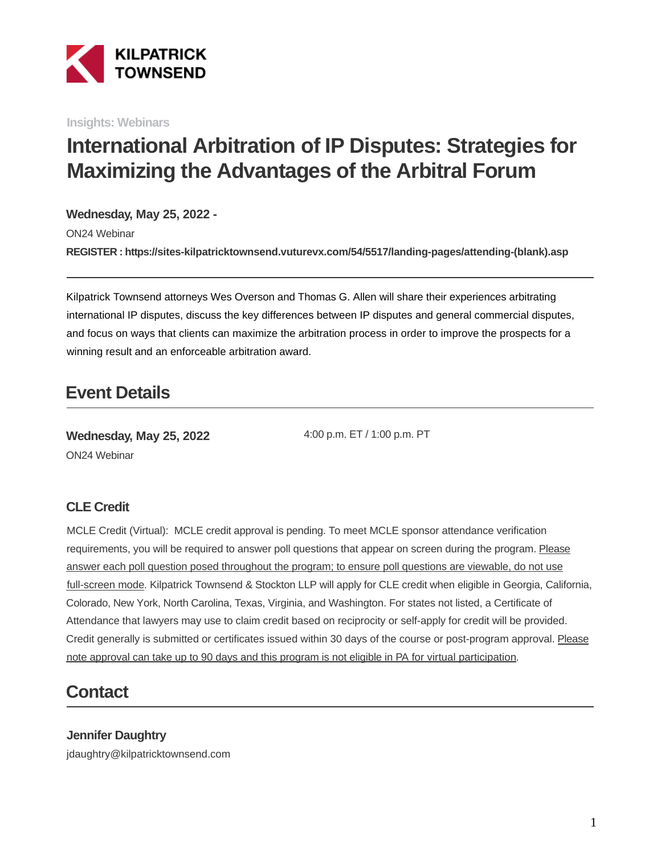

**Insights: Webinars**

# **International Arbitration of IP Disputes: Strategies for Maximizing the Advantages of the Arbitral Forum**

#### **Wednesday, May 25, 2022 -**

ON24 Webinar **REGISTER : https://sites-kilpatricktownsend.vuturevx.com/54/5517/landing-pages/attending-(blank).asp**

Kilpatrick Townsend attorneys Wes Overson and Thomas G. Allen will share their experiences arbitrating international IP disputes, discuss the key differences between IP disputes and general commercial disputes, and focus on ways that clients can maximize the arbitration process in order to improve the prospects for a winning result and an enforceable arbitration award.

## **Event Details**

**Wednesday, May 25, 2022** ON24 Webinar

4:00 p.m. ET / 1:00 p.m. PT

#### **CLE Credit**

MCLE Credit (Virtual): MCLE credit approval is pending. To meet MCLE sponsor attendance verification requirements, you will be required to answer poll questions that appear on screen during the program. Please answer each poll question posed throughout the program; to ensure poll questions are viewable, do not use full-screen mode. Kilpatrick Townsend & Stockton LLP will apply for CLE credit when eligible in Georgia, California, Colorado, New York, North Carolina, Texas, Virginia, and Washington. For states not listed, a Certificate of Attendance that lawyers may use to claim credit based on reciprocity or self-apply for credit will be provided. Credit generally is submitted or certificates issued within 30 days of the course or post-program approval. Please note approval can take up to 90 days and this program is not eligible in PA for virtual participation.

## **Contact**

**Jennifer Daughtry** jdaughtry@kilpatricktownsend.com